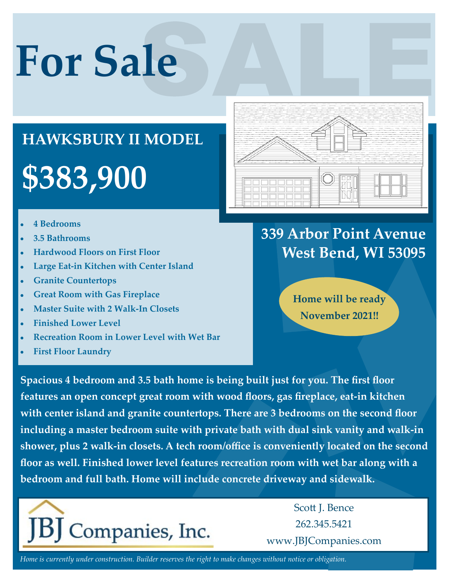# **For Sale**

## **\$383,900 HAWKSBURY II MODEL**

- **4 Bedrooms**
- **3.5 Bathrooms**
- **Hardwood Floors on First Floor**
- **Large Eat-in Kitchen with Center Island**
- **Granite Countertops**
- **Great Room with Gas Fireplace**
- **Master Suite with 2 Walk-In Closets**
- **Finished Lower Level**
- **Recreation Room in Lower Level with Wet Bar**
- **First Floor Laundry**



### **339 Arbor Point Avenue West Bend, WI 53095**

**Home will be ready November 2021!!**

**Spacious 4 bedroom and 3.5 bath home is being built just for you. The first floor features an open concept great room with wood floors, gas fireplace, eat-in kitchen with center island and granite countertops. There are 3 bedrooms on the second floor including a master bedroom suite with private bath with dual sink vanity and walk-in shower, plus 2 walk-in closets. A tech room/office is conveniently located on the second floor as well. Finished lower level features recreation room with wet bar along with a bedroom and full bath. Home will include concrete driveway and sidewalk.**



Scott J. Bence 262.345.5421 www.JBJCompanies.com

*Home is currently under construction. Builder reserves the right to make changes without notice or obligation.*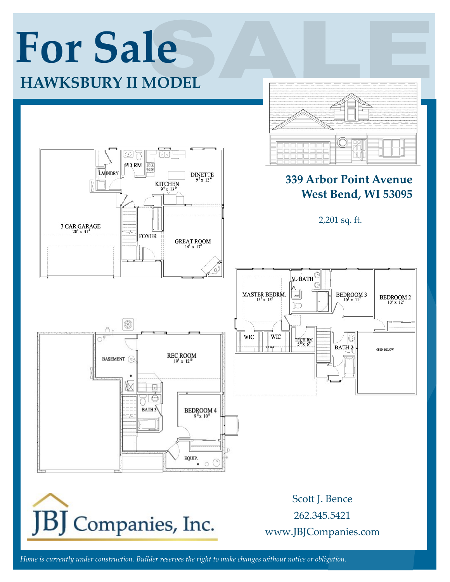

*Home is currently under construction. Builder reserves the right to make changes without notice or obligation.*